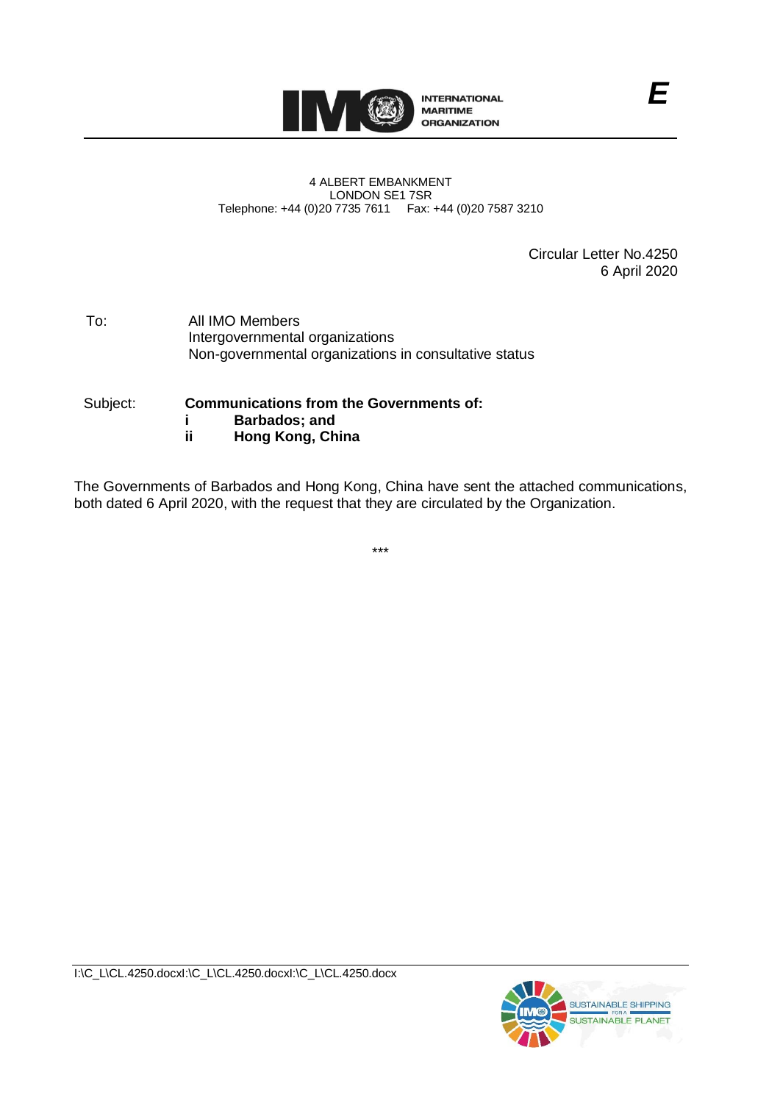

#### 4 ALBERT EMBANKMENT LONDON SE1 7SR Telephone: +44 (0)20 7735 7611 Fax: +44 (0)20 7587 3210

Circular Letter No.4250 6 April 2020

To: All IMO Members Intergovernmental organizations Non-governmental organizations in consultative status

#### Subject: **Communications from the Governments of: i Barbados; and ii Hong Kong, China**

The Governments of Barbados and Hong Kong, China have sent the attached communications, both dated 6 April 2020, with the request that they are circulated by the Organization.

\*\*\*



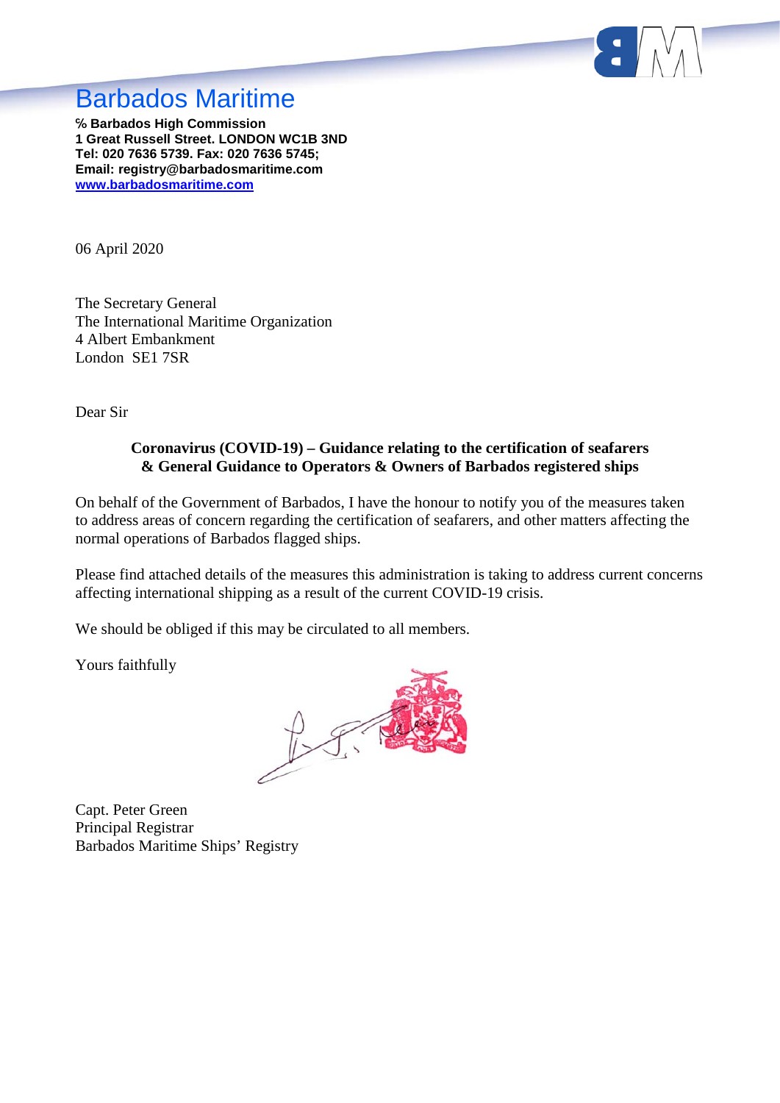

# Barbados Maritime

**℅ Barbados High Commission 1 Great Russell Street. LONDON WC1B 3ND Tel: 020 7636 5739. Fax: 020 7636 5745; Email: registry@barbadosmaritime.com [www.barbadosmaritime.com](http://www.barbadosmaritime.com/)**

06 April 2020

The Secretary General The International Maritime Organization 4 Albert Embankment London SE1 7SR

Dear Sir

#### **Coronavirus (COVID-19) – Guidance relating to the certification of seafarers & General Guidance to Operators & Owners of Barbados registered ships**

On behalf of the Government of Barbados, I have the honour to notify you of the measures taken to address areas of concern regarding the certification of seafarers, and other matters affecting the normal operations of Barbados flagged ships.

Please find attached details of the measures this administration is taking to address current concerns affecting international shipping as a result of the current COVID-19 crisis.

We should be obliged if this may be circulated to all members.

Yours faithfully

 $1-\sqrt{2}$ 

Capt. Peter Green Principal Registrar Barbados Maritime Ships' Registry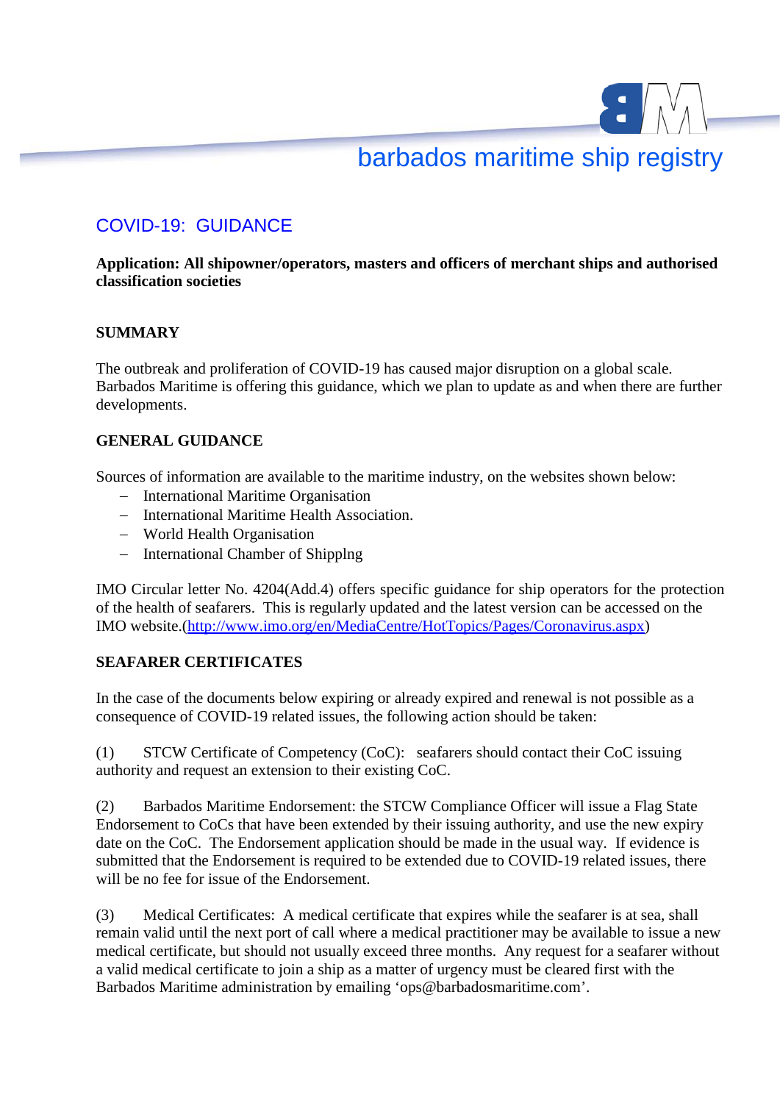# barbados maritime ship registry

# COVID-19: GUIDANCE

#### **Application: All shipowner/operators, masters and officers of merchant ships and authorised classification societies**

### **SUMMARY**

The outbreak and proliferation of COVID-19 has caused major disruption on a global scale. Barbados Maritime is offering this guidance, which we plan to update as and when there are further developments.

### **GENERAL GUIDANCE**

Sources of information are available to the maritime industry, on the websites shown below:

- International Maritime Organisation
- International Maritime Health Association.
- World Health Organisation
- International Chamber of Shipplng

IMO Circular letter No. 4204(Add.4) offers specific guidance for ship operators for the protection of the health of seafarers. This is regularly updated and the latest version can be accessed on the IMO website.(http://www.imo.org/en/MediaCentre/HotTopics/Pages/Coronavirus.aspx)

#### **SEAFARER CERTIFICATES**

In the case of the documents below expiring or already expired and renewal is not possible as a consequence of COVID-19 related issues, the following action should be taken:

(1) STCW Certificate of Competency (CoC): seafarers should contact their CoC issuing authority and request an extension to their existing CoC.

(2) Barbados Maritime Endorsement: the STCW Compliance Officer will issue a Flag State Endorsement to CoCs that have been extended by their issuing authority, and use the new expiry date on the CoC. The Endorsement application should be made in the usual way. If evidence is submitted that the Endorsement is required to be extended due to COVID-19 related issues, there will be no fee for issue of the Endorsement.

(3) Medical Certificates: A medical certificate that expires while the seafarer is at sea, shall remain valid until the next port of call where a medical practitioner may be available to issue a new medical certificate, but should not usually exceed three months. Any request for a seafarer without a valid medical certificate to join a ship as a matter of urgency must be cleared first with the Barbados Maritime administration by emailing 'ops@barbadosmaritime.com'.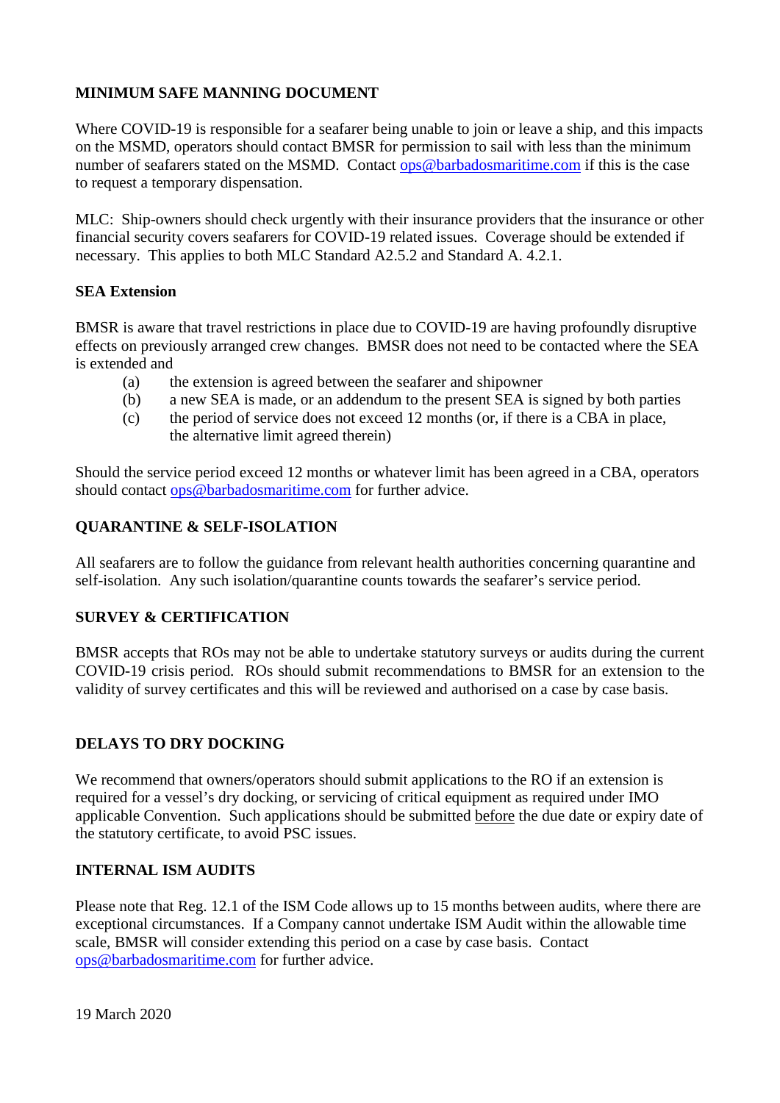### **MINIMUM SAFE MANNING DOCUMENT**

Where COVID-19 is responsible for a seafarer being unable to join or leave a ship, and this impacts on the MSMD, operators should contact BMSR for permission to sail with less than the minimum number of seafarers stated on the MSMD. Contact [ops@barbadosmaritime.com](mailto:ops@barbadosmaritime.com) if this is the case to request a temporary dispensation.

MLC: Ship-owners should check urgently with their insurance providers that the insurance or other financial security covers seafarers for COVID-19 related issues. Coverage should be extended if necessary. This applies to both MLC Standard A2.5.2 and Standard A. 4.2.1.

#### **SEA Extension**

BMSR is aware that travel restrictions in place due to COVID-19 are having profoundly disruptive effects on previously arranged crew changes. BMSR does not need to be contacted where the SEA is extended and

- (a) the extension is agreed between the seafarer and shipowner
- (b) a new SEA is made, or an addendum to the present SEA is signed by both parties
- (c) the period of service does not exceed 12 months (or, if there is a CBA in place, the alternative limit agreed therein)

Should the service period exceed 12 months or whatever limit has been agreed in a CBA, operators should contact [ops@barbadosmaritime.com](mailto:ops@barbadosmaritime.com) for further advice.

#### **QUARANTINE & SELF-ISOLATION**

All seafarers are to follow the guidance from relevant health authorities concerning quarantine and self-isolation. Any such isolation/quarantine counts towards the seafarer's service period.

#### **SURVEY & CERTIFICATION**

BMSR accepts that ROs may not be able to undertake statutory surveys or audits during the current COVID-19 crisis period. ROs should submit recommendations to BMSR for an extension to the validity of survey certificates and this will be reviewed and authorised on a case by case basis.

#### **DELAYS TO DRY DOCKING**

We recommend that owners/operators should submit applications to the RO if an extension is required for a vessel's dry docking, or servicing of critical equipment as required under IMO applicable Convention. Such applications should be submitted before the due date or expiry date of the statutory certificate, to avoid PSC issues.

#### **INTERNAL ISM AUDITS**

Please note that Reg. 12.1 of the ISM Code allows up to 15 months between audits, where there are exceptional circumstances. If a Company cannot undertake ISM Audit within the allowable time scale, BMSR will consider extending this period on a case by case basis. Contact [ops@barbadosmaritime.com](mailto:ops@barbadosmaritime.com) for further advice.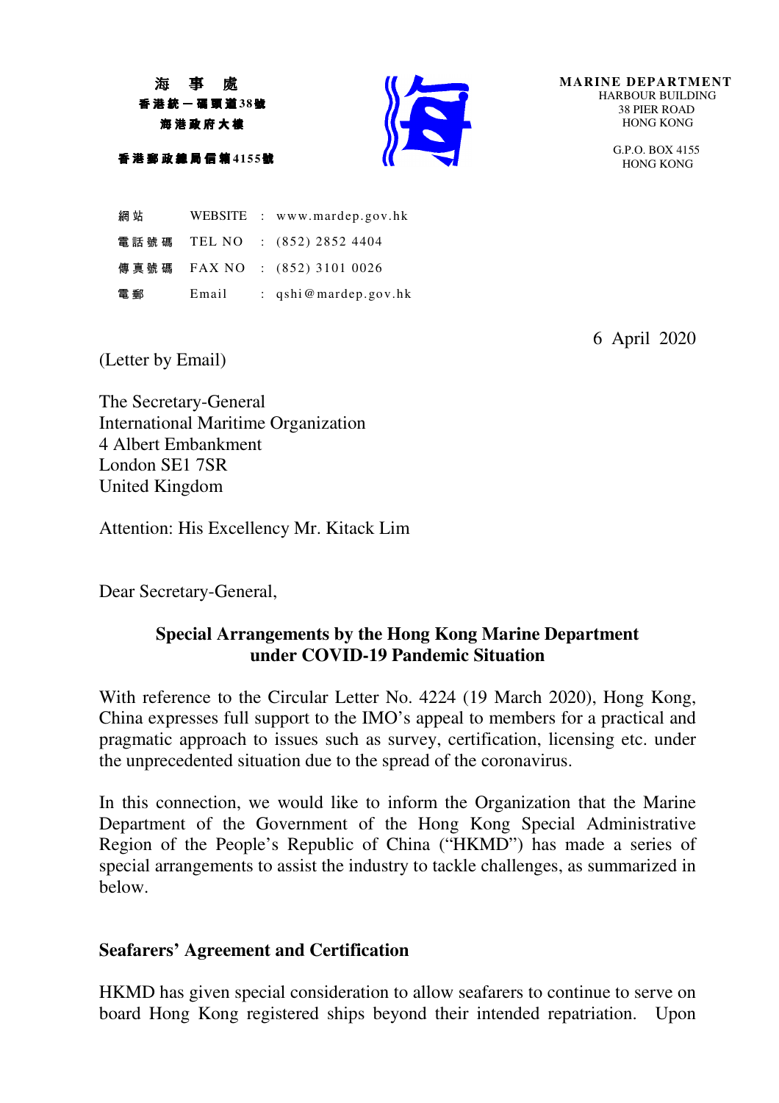海 事 處 香 港 統 一 碼 頭 道 **38**號 海 港 政 府 大 樓

香 港 郵 政 總 局 信 箱 **4155**號



**MARINE DEPARTMENT** HARBOUR BUILDING 38 PIER ROAD HONG KONG

> G.P.O. BOX 4155 HONG KONG

網 站 WEBSITE : www.mardep.gov.hk 電 話 號 碼 TEL NO : (852) 2852 4404 傳真號碼 FAX NO : (852) 3101 0026 電 郵 Email : qshi@mardep.gov.hk

6 April 2020

(Letter by Email)

The Secretary-General International Maritime Organization 4 Albert Embankment London SE1 7SR United Kingdom

Attention: His Excellency Mr. Kitack Lim

Dear Secretary-General,

# **Special Arrangements by the Hong Kong Marine Department under COVID-19 Pandemic Situation**

With reference to the Circular Letter No. 4224 (19 March 2020), Hong Kong, China expresses full support to the IMO's appeal to members for a practical and pragmatic approach to issues such as survey, certification, licensing etc. under the unprecedented situation due to the spread of the coronavirus.

In this connection, we would like to inform the Organization that the Marine Department of the Government of the Hong Kong Special Administrative Region of the People's Republic of China ("HKMD") has made a series of special arrangements to assist the industry to tackle challenges, as summarized in below.

# **Seafarers' Agreement and Certification**

HKMD has given special consideration to allow seafarers to continue to serve on board Hong Kong registered ships beyond their intended repatriation. Upon